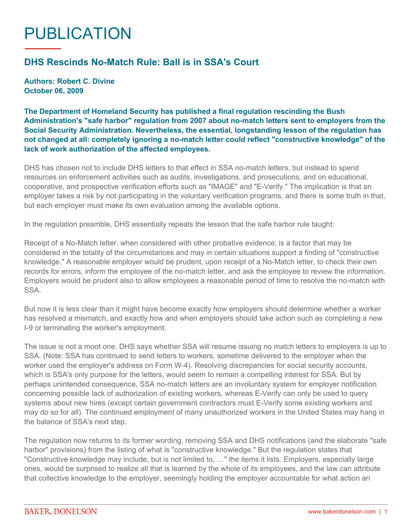## PUBLICATION

## **DHS Rescinds No-Match Rule: Ball is in SSA's Court**

**Authors: Robert C. Divine October 06, 2009**

**The Department of Homeland Security has published a final regulation rescinding the Bush Administration's "safe harbor" regulation from 2007 about no-match letters sent to employers from the Social Security Administration. Nevertheless, the essential, longstanding lesson of the regulation has not changed at all: completely ignoring a no-match letter could reflect "constructive knowledge" of the lack of work authorization of the affected employees.**

DHS has chosen not to include DHS letters to that effect in SSA no-match letters, but instead to spend resources on enforcement activities such as audits, investigations, and prosecutions, and on educational, cooperative, and prospective verification efforts such as "IMAGE" and "E-Verify." The implication is that an employer takes a risk by not participating in the voluntary verification programs, and there is some truth in that, but each employer must make its own evaluation among the available options.

In the regulation preamble, DHS essentially repeats the lesson that the safe harbor rule taught:

Receipt of a No-Match letter, when considered with other probative evidence, is a factor that may be considered in the totality of the circumstances and may in certain situations support a finding of "constructive knowledge." A reasonable employer would be prudent, upon receipt of a No-Match letter, to check their own records for errors, inform the employee of the no-match letter, and ask the employee to review the information. Employers would be prudent also to allow employees a reasonable period of time to resolve the no-match with SSA.

But now it is less clear than it might have become exactly how employers should determine whether a worker has resolved a mismatch, and exactly how and when employers should take action such as completing a new I-9 or terminating the worker's employment.

The issue is not a moot one. DHS says whether SSA will resume issuing no match letters to employers is up to SSA. (Note: SSA has continued to send letters to workers, sometime delivered to the employer when the worker used the employer's address on Form W-4). Resolving discrepancies for social security accounts, which is SSA's only purpose for the letters, would seem to remain a compelling interest for SSA. But by perhaps unintended consequence, SSA no-match letters are an involuntary system for employer notification concerning possible lack of authorization of existing workers, whereas E-Verify can only be used to query systems about new hires (except certain government contractors must E-Verify some existing workers and may do so for all). The continued employment of many unauthorized workers in the United States may hang in the balance of SSA's next step.

The regulation now returns to its former wording, removing SSA and DHS notifications (and the elaborate "safe harbor" provisions) from the listing of what is "constructive knowledge." But the regulation states that "Constructive knowledge may include, but is not limited to, …" the items it lists. Employers, especially large ones, would be surprised to realize all that is learned by the whole of its employees, and the law can attribute that collective knowledge to the employer, seemingly holding the employer accountable for what action an